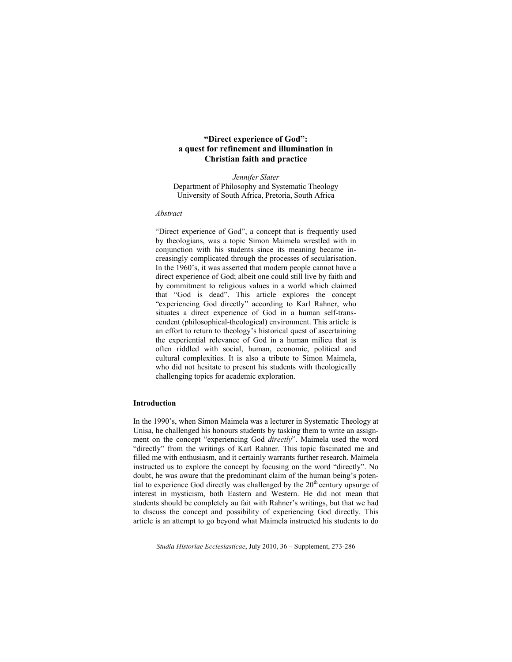# **"Direct experience of God": a quest for refinement and illumination in Christian faith and practice**

*Jennifer Slater*  Department of Philosophy and Systematic Theology University of South Africa, Pretoria, South Africa

#### *Abstract*

"Direct experience of God", a concept that is frequently used by theologians, was a topic Simon Maimela wrestled with in conjunction with his students since its meaning became increasingly complicated through the processes of secularisation. In the 1960's, it was asserted that modern people cannot have a direct experience of God; albeit one could still live by faith and by commitment to religious values in a world which claimed that "God is dead". This article explores the concept "experiencing God directly" according to Karl Rahner, who situates a direct experience of God in a human self-transcendent (philosophical-theological) environment. This article is an effort to return to theology's historical quest of ascertaining the experiential relevance of God in a human milieu that is often riddled with social, human, economic, political and cultural complexities. It is also a tribute to Simon Maimela, who did not hesitate to present his students with theologically challenging topics for academic exploration.

### **Introduction**

In the 1990's, when Simon Maimela was a lecturer in Systematic Theology at Unisa, he challenged his honours students by tasking them to write an assignment on the concept "experiencing God *directly*". Maimela used the word "directly" from the writings of Karl Rahner. This topic fascinated me and filled me with enthusiasm, and it certainly warrants further research. Maimela instructed us to explore the concept by focusing on the word "directly". No doubt, he was aware that the predominant claim of the human being's potential to experience God directly was challenged by the  $20<sup>th</sup>$  century upsurge of interest in mysticism, both Eastern and Western. He did not mean that students should be completely au fait with Rahner's writings, but that we had to discuss the concept and possibility of experiencing God directly. This article is an attempt to go beyond what Maimela instructed his students to do

*Studia Historiae Ecclesiasticae*, July 2010, 36 – Supplement, 273-286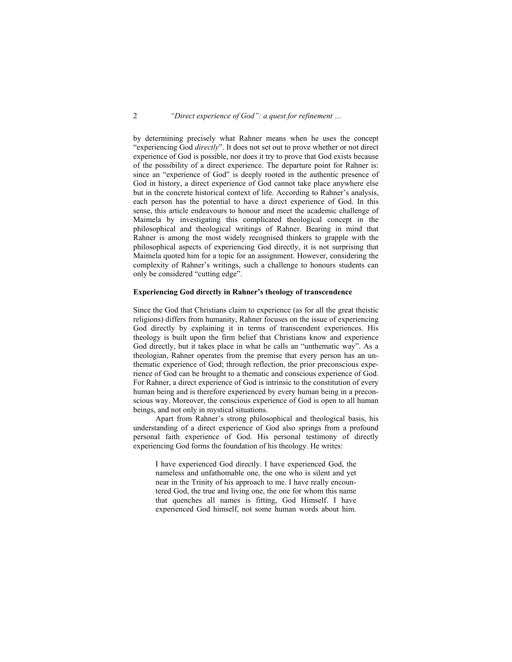by determining precisely what Rahner means when he uses the concept "experiencing God *directly*". It does not set out to prove whether or not direct experience of God is possible, nor does it try to prove that God exists because of the possibility of a direct experience. The departure point for Rahner is: since an "experience of God" is deeply rooted in the authentic presence of God in history, a direct experience of God cannot take place anywhere else but in the concrete historical context of life. According to Rahner's analysis, each person has the potential to have a direct experience of God. In this sense, this article endeavours to honour and meet the academic challenge of Maimela by investigating this complicated theological concept in the philosophical and theological writings of Rahner. Bearing in mind that Rahner is among the most widely recognised thinkers to grapple with the philosophical aspects of experiencing God directly, it is not surprising that Maimela quoted him for a topic for an assignment. However, considering the complexity of Rahner's writings, such a challenge to honours students can only be considered "cutting edge".

### **Experiencing God directly in Rahner's theology of transcendence**

Since the God that Christians claim to experience (as for all the great theistic religions) differs from humanity, Rahner focuses on the issue of experiencing God directly by explaining it in terms of transcendent experiences. His theology is built upon the firm belief that Christians know and experience God directly, but it takes place in what he calls an "unthematic way". As a theologian, Rahner operates from the premise that every person has an unthematic experience of God; through reflection, the prior preconscious experience of God can be brought to a thematic and conscious experience of God. For Rahner, a direct experience of God is intrinsic to the constitution of every human being and is therefore experienced by every human being in a preconscious way. Moreover, the conscious experience of God is open to all human beings, and not only in mystical situations.

 Apart from Rahner's strong philosophical and theological basis, his understanding of a direct experience of God also springs from a profound personal faith experience of God. His personal testimony of directly experiencing God forms the foundation of his theology. He writes:

I have experienced God directly. I have experienced God, the nameless and unfathomable one, the one who is silent and yet near in the Trinity of his approach to me. I have really encountered God, the true and living one, the one for whom this name that quenches all names is fitting, God Himself. I have experienced God himself, not some human words about him.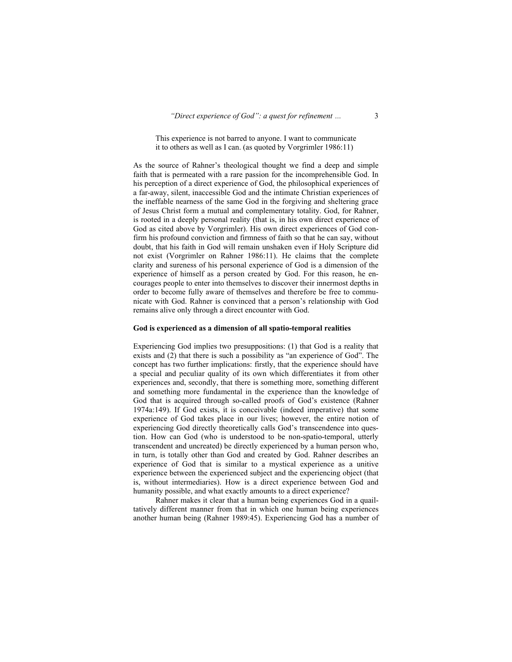## This experience is not barred to anyone. I want to communicate it to others as well as I can. (as quoted by Vorgrimler 1986:11)

As the source of Rahner's theological thought we find a deep and simple faith that is permeated with a rare passion for the incomprehensible God. In his perception of a direct experience of God, the philosophical experiences of a far-away, silent, inaccessible God and the intimate Christian experiences of the ineffable nearness of the same God in the forgiving and sheltering grace of Jesus Christ form a mutual and complementary totality. God, for Rahner, is rooted in a deeply personal reality (that is, in his own direct experience of God as cited above by Vorgrimler). His own direct experiences of God confirm his profound conviction and firmness of faith so that he can say, without doubt, that his faith in God will remain unshaken even if Holy Scripture did not exist (Vorgrimler on Rahner 1986:11). He claims that the complete clarity and sureness of his personal experience of God is a dimension of the experience of himself as a person created by God. For this reason, he encourages people to enter into themselves to discover their innermost depths in order to become fully aware of themselves and therefore be free to communicate with God. Rahner is convinced that a person's relationship with God remains alive only through a direct encounter with God.

#### **God is experienced as a dimension of all spatio-temporal realities**

Experiencing God implies two presuppositions: (1) that God is a reality that exists and (2) that there is such a possibility as "an experience of God". The concept has two further implications: firstly, that the experience should have a special and peculiar quality of its own which differentiates it from other experiences and, secondly, that there is something more, something different and something more fundamental in the experience than the knowledge of God that is acquired through so-called proofs of God's existence (Rahner 1974a:149). If God exists, it is conceivable (indeed imperative) that some experience of God takes place in our lives; however, the entire notion of experiencing God directly theoretically calls God's transcendence into question. How can God (who is understood to be non-spatio-temporal, utterly transcendent and uncreated) be directly experienced by a human person who, in turn, is totally other than God and created by God. Rahner describes an experience of God that is similar to a mystical experience as a unitive experience between the experienced subject and the experiencing object (that is, without intermediaries). How is a direct experience between God and humanity possible, and what exactly amounts to a direct experience?

 Rahner makes it clear that a human being experiences God in a quailtatively different manner from that in which one human being experiences another human being (Rahner 1989:45). Experiencing God has a number of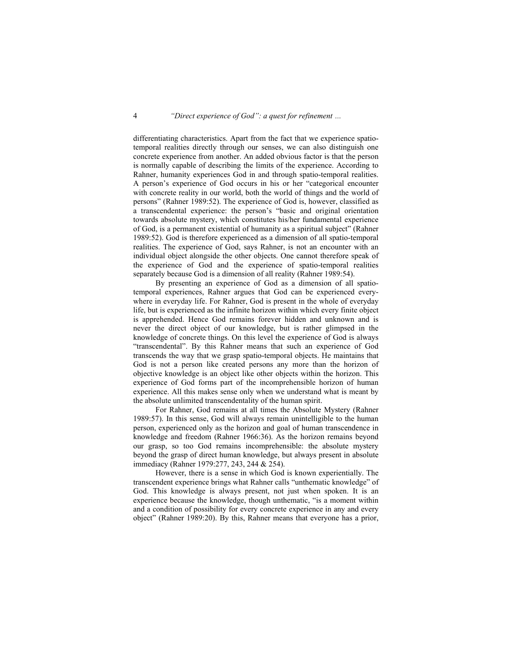differentiating characteristics. Apart from the fact that we experience spatiotemporal realities directly through our senses, we can also distinguish one concrete experience from another. An added obvious factor is that the person is normally capable of describing the limits of the experience. According to Rahner, humanity experiences God in and through spatio-temporal realities. A person's experience of God occurs in his or her "categorical encounter with concrete reality in our world, both the world of things and the world of persons" (Rahner 1989:52). The experience of God is, however, classified as a transcendental experience: the person's "basic and original orientation towards absolute mystery, which constitutes his/her fundamental experience of God, is a permanent existential of humanity as a spiritual subject" (Rahner 1989:52). God is therefore experienced as a dimension of all spatio-temporal realities. The experience of God, says Rahner, is not an encounter with an individual object alongside the other objects. One cannot therefore speak of the experience of God and the experience of spatio-temporal realities separately because God is a dimension of all reality (Rahner 1989:54).

 By presenting an experience of God as a dimension of all spatiotemporal experiences, Rahner argues that God can be experienced everywhere in everyday life. For Rahner, God is present in the whole of everyday life, but is experienced as the infinite horizon within which every finite object is apprehended. Hence God remains forever hidden and unknown and is never the direct object of our knowledge, but is rather glimpsed in the knowledge of concrete things. On this level the experience of God is always "transcendental". By this Rahner means that such an experience of God transcends the way that we grasp spatio-temporal objects. He maintains that God is not a person like created persons any more than the horizon of objective knowledge is an object like other objects within the horizon. This experience of God forms part of the incomprehensible horizon of human experience. All this makes sense only when we understand what is meant by the absolute unlimited transcendentality of the human spirit.

 For Rahner, God remains at all times the Absolute Mystery (Rahner 1989:57). In this sense, God will always remain unintelligible to the human person, experienced only as the horizon and goal of human transcendence in knowledge and freedom (Rahner 1966:36). As the horizon remains beyond our grasp, so too God remains incomprehensible: the absolute mystery beyond the grasp of direct human knowledge, but always present in absolute immediacy (Rahner 1979:277, 243, 244 & 254).

 However, there is a sense in which God is known experientially. The transcendent experience brings what Rahner calls "unthematic knowledge" of God. This knowledge is always present, not just when spoken. It is an experience because the knowledge, though unthematic, "is a moment within and a condition of possibility for every concrete experience in any and every object" (Rahner 1989:20). By this, Rahner means that everyone has a prior,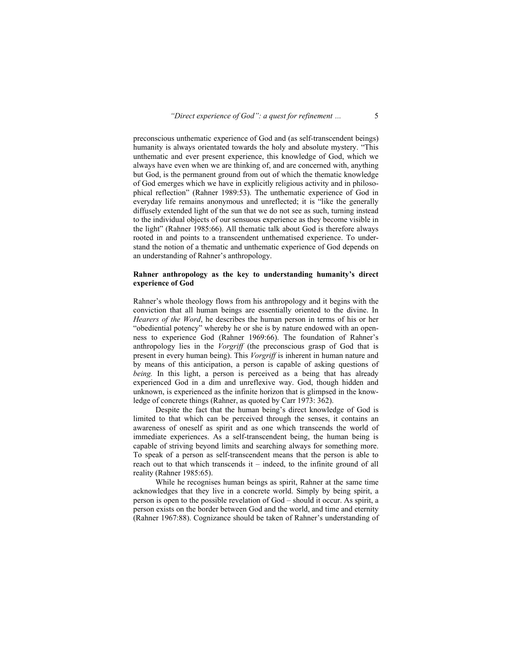preconscious unthematic experience of God and (as self-transcendent beings) humanity is always orientated towards the holy and absolute mystery. "This unthematic and ever present experience, this knowledge of God, which we always have even when we are thinking of, and are concerned with, anything but God, is the permanent ground from out of which the thematic knowledge of God emerges which we have in explicitly religious activity and in philosophical reflection" (Rahner 1989:53). The unthematic experience of God in everyday life remains anonymous and unreflected; it is "like the generally diffusely extended light of the sun that we do not see as such, turning instead to the individual objects of our sensuous experience as they become visible in the light" (Rahner 1985:66). All thematic talk about God is therefore always rooted in and points to a transcendent unthematised experience. To understand the notion of a thematic and unthematic experience of God depends on an understanding of Rahner's anthropology.

## **Rahner anthropology as the key to understanding humanity's direct experience of God**

Rahner's whole theology flows from his anthropology and it begins with the conviction that all human beings are essentially oriented to the divine. In *Hearers of the Word*, he describes the human person in terms of his or her "obediential potency" whereby he or she is by nature endowed with an openness to experience God (Rahner 1969:66). The foundation of Rahner's anthropology lies in the *Vorgriff* (the preconscious grasp of God that is present in every human being). This *Vorgriff* is inherent in human nature and by means of this anticipation, a person is capable of asking questions of *being.* In this light, a person is perceived as a being that has already experienced God in a dim and unreflexive way. God, though hidden and unknown, is experienced as the infinite horizon that is glimpsed in the knowledge of concrete things (Rahner, as quoted by Carr 1973: 362).

 Despite the fact that the human being's direct knowledge of God is limited to that which can be perceived through the senses, it contains an awareness of oneself as spirit and as one which transcends the world of immediate experiences. As a self-transcendent being, the human being is capable of striving beyond limits and searching always for something more. To speak of a person as self-transcendent means that the person is able to reach out to that which transcends it – indeed, to the infinite ground of all reality (Rahner 1985:65).

 While he recognises human beings as spirit, Rahner at the same time acknowledges that they live in a concrete world. Simply by being spirit, a person is open to the possible revelation of God – should it occur. As spirit, a person exists on the border between God and the world, and time and eternity (Rahner 1967:88). Cognizance should be taken of Rahner's understanding of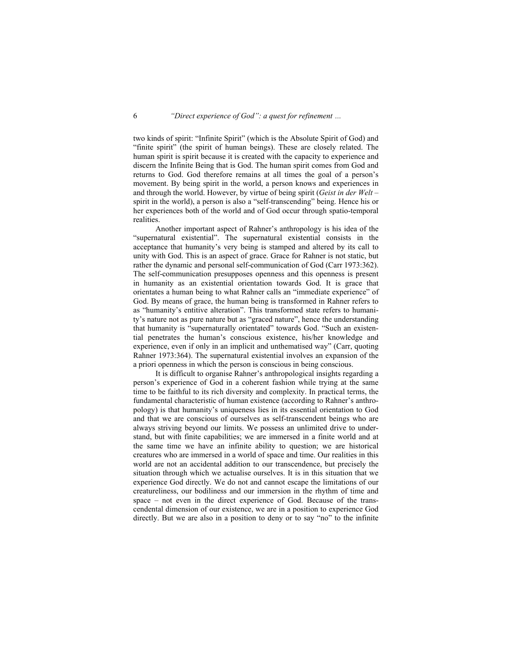two kinds of spirit: "Infinite Spirit" (which is the Absolute Spirit of God) and "finite spirit" (the spirit of human beings). These are closely related. The human spirit is spirit because it is created with the capacity to experience and discern the Infinite Being that is God. The human spirit comes from God and returns to God. God therefore remains at all times the goal of a person's movement. By being spirit in the world, a person knows and experiences in and through the world. However, by virtue of being spirit (*Geist in der Welt* – spirit in the world), a person is also a "self-transcending" being. Hence his or her experiences both of the world and of God occur through spatio-temporal realities.

 Another important aspect of Rahner's anthropology is his idea of the "supernatural existential". The supernatural existential consists in the acceptance that humanity's very being is stamped and altered by its call to unity with God. This is an aspect of grace. Grace for Rahner is not static, but rather the dynamic and personal self-communication of God (Carr 1973:362). The self-communication presupposes openness and this openness is present in humanity as an existential orientation towards God. It is grace that orientates a human being to what Rahner calls an "immediate experience" of God. By means of grace, the human being is transformed in Rahner refers to as "humanity's entitive alteration". This transformed state refers to humanity's nature not as pure nature but as "graced nature", hence the understanding that humanity is "supernaturally orientated" towards God. "Such an existential penetrates the human's conscious existence, his/her knowledge and experience, even if only in an implicit and unthematised way" (Carr, quoting Rahner 1973:364). The supernatural existential involves an expansion of the a priori openness in which the person is conscious in being conscious.

 It is difficult to organise Rahner's anthropological insights regarding a person's experience of God in a coherent fashion while trying at the same time to be faithful to its rich diversity and complexity. In practical terms, the fundamental characteristic of human existence (according to Rahner's anthropology) is that humanity's uniqueness lies in its essential orientation to God and that we are conscious of ourselves as self-transcendent beings who are always striving beyond our limits. We possess an unlimited drive to understand, but with finite capabilities; we are immersed in a finite world and at the same time we have an infinite ability to question; we are historical creatures who are immersed in a world of space and time. Our realities in this world are not an accidental addition to our transcendence, but precisely the situation through which we actualise ourselves. It is in this situation that we experience God directly. We do not and cannot escape the limitations of our creatureliness, our bodiliness and our immersion in the rhythm of time and space – not even in the direct experience of God. Because of the transcendental dimension of our existence, we are in a position to experience God directly. But we are also in a position to deny or to say "no" to the infinite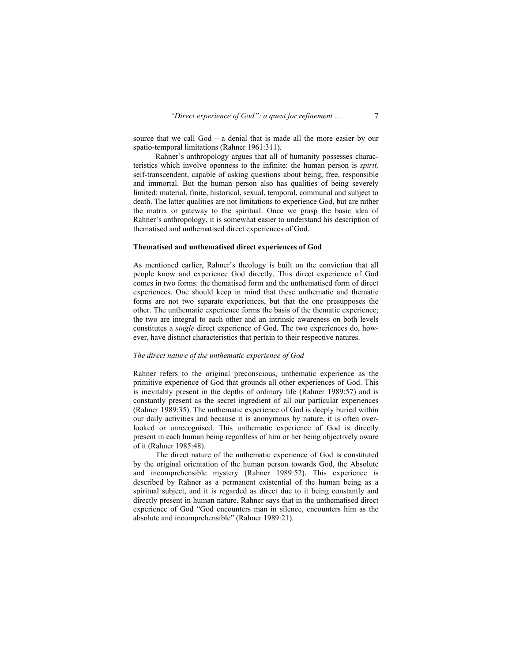source that we call God – a denial that is made all the more easier by our spatio-temporal limitations (Rahner 1961:311).

 Rahner's anthropology argues that all of humanity possesses characteristics which involve openness to the infinite: the human person is *spirit,* self-transcendent, capable of asking questions about being, free, responsible and immortal. But the human person also has qualities of being severely limited: material, finite, historical, sexual, temporal, communal and subject to death. The latter qualities are not limitations to experience God, but are rather the matrix or gateway to the spiritual. Once we grasp the basic idea of Rahner's anthropology, it is somewhat easier to understand his description of thematised and unthematised direct experiences of God.

#### **Thematised and unthematised direct experiences of God**

As mentioned earlier, Rahner's theology is built on the conviction that all people know and experience God directly. This direct experience of God comes in two forms: the thematised form and the unthematised form of direct experiences. One should keep in mind that these unthematic and thematic forms are not two separate experiences, but that the one presupposes the other. The unthematic experience forms the basis of the thematic experience; the two are integral to each other and an intrinsic awareness on both levels constitutes a *single* direct experience of God. The two experiences do, however, have distinct characteristics that pertain to their respective natures.

#### *The direct nature of the unthematic experience of God*

Rahner refers to the original preconscious, unthematic experience as the primitive experience of God that grounds all other experiences of God. This is inevitably present in the depths of ordinary life (Rahner 1989:57) and is constantly present as the secret ingredient of all our particular experiences (Rahner 1989:35). The unthematic experience of God is deeply buried within our daily activities and because it is anonymous by nature, it is often overlooked or unrecognised. This unthematic experience of God is directly present in each human being regardless of him or her being objectively aware of it (Rahner 1985:48).

 The direct nature of the unthematic experience of God is constituted by the original orientation of the human person towards God, the Absolute and incomprehensible mystery (Rahner 1989:52). This experience is described by Rahner as a permanent existential of the human being as a spiritual subject, and it is regarded as direct due to it being constantly and directly present in human nature. Rahner says that in the unthematised direct experience of God "God encounters man in silence, encounters him as the absolute and incomprehensible" (Rahner 1989:21).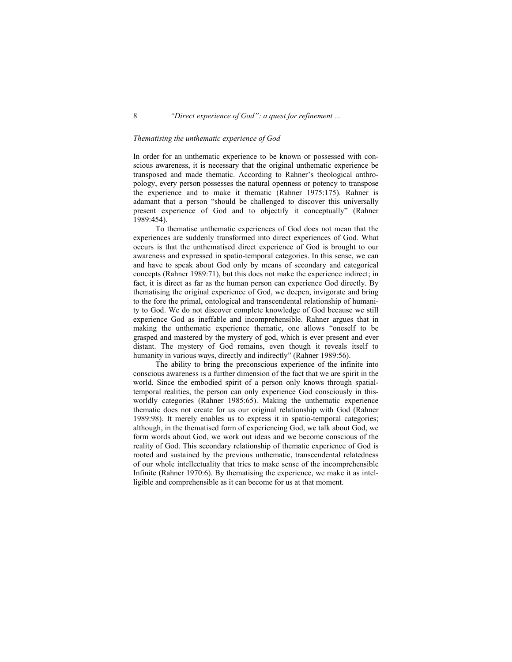### *Thematising the unthematic experience of God*

In order for an unthematic experience to be known or possessed with conscious awareness, it is necessary that the original unthematic experience be transposed and made thematic. According to Rahner's theological anthropology, every person possesses the natural openness or potency to transpose the experience and to make it thematic (Rahner 1975:175). Rahner is adamant that a person "should be challenged to discover this universally present experience of God and to objectify it conceptually" (Rahner 1989:454).

 To thematise unthematic experiences of God does not mean that the experiences are suddenly transformed into direct experiences of God. What occurs is that the unthematised direct experience of God is brought to our awareness and expressed in spatio-temporal categories. In this sense, we can and have to speak about God only by means of secondary and categorical concepts (Rahner 1989:71), but this does not make the experience indirect; in fact, it is direct as far as the human person can experience God directly. By thematising the original experience of God, we deepen, invigorate and bring to the fore the primal, ontological and transcendental relationship of humanity to God. We do not discover complete knowledge of God because we still experience God as ineffable and incomprehensible. Rahner argues that in making the unthematic experience thematic, one allows "oneself to be grasped and mastered by the mystery of god, which is ever present and ever distant. The mystery of God remains, even though it reveals itself to humanity in various ways, directly and indirectly" (Rahner 1989:56).

 The ability to bring the preconscious experience of the infinite into conscious awareness is a further dimension of the fact that we are spirit in the world. Since the embodied spirit of a person only knows through spatialtemporal realities, the person can only experience God consciously in thisworldly categories (Rahner 1985:65). Making the unthematic experience thematic does not create for us our original relationship with God (Rahner 1989:98). It merely enables us to express it in spatio-temporal categories; although, in the thematised form of experiencing God, we talk about God, we form words about God, we work out ideas and we become conscious of the reality of God. This secondary relationship of thematic experience of God is rooted and sustained by the previous unthematic, transcendental relatedness of our whole intellectuality that tries to make sense of the incomprehensible Infinite (Rahner 1970:6). By thematising the experience, we make it as intelligible and comprehensible as it can become for us at that moment.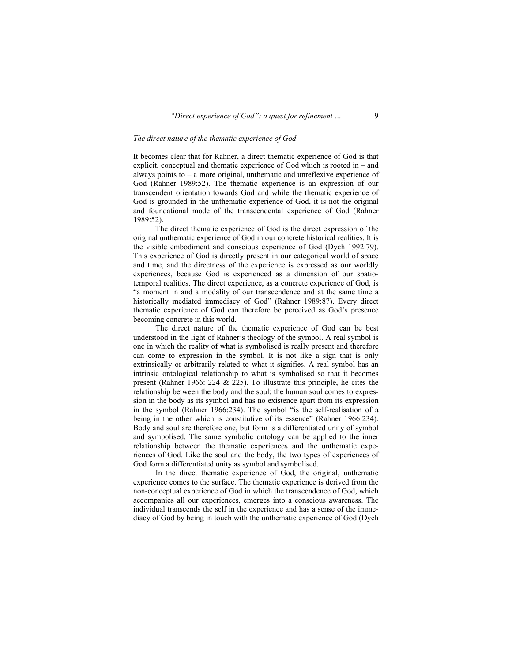### *The direct nature of the thematic experience of God*

It becomes clear that for Rahner, a direct thematic experience of God is that explicit, conceptual and thematic experience of God which is rooted in – and always points to – a more original, unthematic and unreflexive experience of God (Rahner 1989:52). The thematic experience is an expression of our transcendent orientation towards God and while the thematic experience of God is grounded in the unthematic experience of God, it is not the original and foundational mode of the transcendental experience of God (Rahner 1989:52).

 The direct thematic experience of God is the direct expression of the original unthematic experience of God in our concrete historical realities. It is the visible embodiment and conscious experience of God (Dych 1992:79). This experience of God is directly present in our categorical world of space and time, and the directness of the experience is expressed as our worldly experiences, because God is experienced as a dimension of our spatiotemporal realities. The direct experience, as a concrete experience of God, is "a moment in and a modality of our transcendence and at the same time a historically mediated immediacy of God" (Rahner 1989:87). Every direct thematic experience of God can therefore be perceived as God's presence becoming concrete in this world.

 The direct nature of the thematic experience of God can be best understood in the light of Rahner's theology of the symbol. A real symbol is one in which the reality of what is symbolised is really present and therefore can come to expression in the symbol. It is not like a sign that is only extrinsically or arbitrarily related to what it signifies. A real symbol has an intrinsic ontological relationship to what is symbolised so that it becomes present (Rahner 1966: 224 & 225). To illustrate this principle, he cites the relationship between the body and the soul: the human soul comes to expression in the body as its symbol and has no existence apart from its expression in the symbol (Rahner 1966:234). The symbol "is the self-realisation of a being in the other which is constitutive of its essence" (Rahner 1966:234). Body and soul are therefore one, but form is a differentiated unity of symbol and symbolised. The same symbolic ontology can be applied to the inner relationship between the thematic experiences and the unthematic experiences of God. Like the soul and the body, the two types of experiences of God form a differentiated unity as symbol and symbolised.

 In the direct thematic experience of God, the original, unthematic experience comes to the surface. The thematic experience is derived from the non-conceptual experience of God in which the transcendence of God, which accompanies all our experiences, emerges into a conscious awareness. The individual transcends the self in the experience and has a sense of the immediacy of God by being in touch with the unthematic experience of God (Dych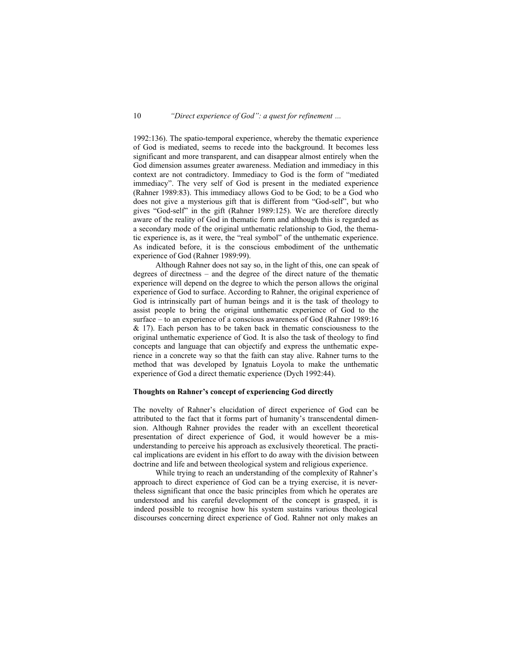1992:136). The spatio-temporal experience, whereby the thematic experience of God is mediated, seems to recede into the background. It becomes less significant and more transparent, and can disappear almost entirely when the God dimension assumes greater awareness. Mediation and immediacy in this context are not contradictory. Immediacy to God is the form of "mediated immediacy". The very self of God is present in the mediated experience (Rahner 1989:83). This immediacy allows God to be God; to be a God who does not give a mysterious gift that is different from "God-self", but who gives "God-self" in the gift (Rahner 1989:125). We are therefore directly aware of the reality of God in thematic form and although this is regarded as a secondary mode of the original unthematic relationship to God, the thematic experience is, as it were, the "real symbol" of the unthematic experience. As indicated before, it is the conscious embodiment of the unthematic experience of God (Rahner 1989:99).

 Although Rahner does not say so, in the light of this, one can speak of degrees of directness – and the degree of the direct nature of the thematic experience will depend on the degree to which the person allows the original experience of God to surface. According to Rahner, the original experience of God is intrinsically part of human beings and it is the task of theology to assist people to bring the original unthematic experience of God to the surface – to an experience of a conscious awareness of God (Rahner 1989:16  $& 17$ ). Each person has to be taken back in thematic consciousness to the original unthematic experience of God. It is also the task of theology to find concepts and language that can objectify and express the unthematic experience in a concrete way so that the faith can stay alive. Rahner turns to the method that was developed by Ignatuis Loyola to make the unthematic experience of God a direct thematic experience (Dych 1992:44).

### **Thoughts on Rahner's concept of experiencing God directly**

The novelty of Rahner's elucidation of direct experience of God can be attributed to the fact that it forms part of humanity's transcendental dimension. Although Rahner provides the reader with an excellent theoretical presentation of direct experience of God, it would however be a misunderstanding to perceive his approach as exclusively theoretical. The practical implications are evident in his effort to do away with the division between doctrine and life and between theological system and religious experience.

 While trying to reach an understanding of the complexity of Rahner's approach to direct experience of God can be a trying exercise, it is nevertheless significant that once the basic principles from which he operates are understood and his careful development of the concept is grasped, it is indeed possible to recognise how his system sustains various theological discourses concerning direct experience of God. Rahner not only makes an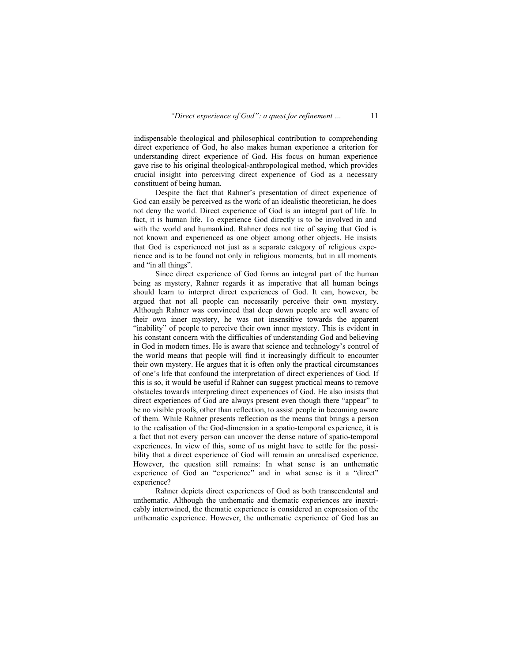indispensable theological and philosophical contribution to comprehending direct experience of God, he also makes human experience a criterion for understanding direct experience of God. His focus on human experience gave rise to his original theological-anthropological method, which provides crucial insight into perceiving direct experience of God as a necessary constituent of being human.

 Despite the fact that Rahner's presentation of direct experience of God can easily be perceived as the work of an idealistic theoretician, he does not deny the world. Direct experience of God is an integral part of life. In fact, it is human life. To experience God directly is to be involved in and with the world and humankind. Rahner does not tire of saying that God is not known and experienced as one object among other objects. He insists that God is experienced not just as a separate category of religious experience and is to be found not only in religious moments, but in all moments and "in all things".

 Since direct experience of God forms an integral part of the human being as mystery, Rahner regards it as imperative that all human beings should learn to interpret direct experiences of God. It can, however, be argued that not all people can necessarily perceive their own mystery. Although Rahner was convinced that deep down people are well aware of their own inner mystery, he was not insensitive towards the apparent "inability" of people to perceive their own inner mystery. This is evident in his constant concern with the difficulties of understanding God and believing in God in modern times. He is aware that science and technology's control of the world means that people will find it increasingly difficult to encounter their own mystery. He argues that it is often only the practical circumstances of one's life that confound the interpretation of direct experiences of God. If this is so, it would be useful if Rahner can suggest practical means to remove obstacles towards interpreting direct experiences of God. He also insists that direct experiences of God are always present even though there "appear" to be no visible proofs, other than reflection, to assist people in becoming aware of them. While Rahner presents reflection as the means that brings a person to the realisation of the God-dimension in a spatio-temporal experience, it is a fact that not every person can uncover the dense nature of spatio-temporal experiences. In view of this, some of us might have to settle for the possibility that a direct experience of God will remain an unrealised experience. However, the question still remains: In what sense is an unthematic experience of God an "experience" and in what sense is it a "direct" experience?

 Rahner depicts direct experiences of God as both transcendental and unthematic. Although the unthematic and thematic experiences are inextricably intertwined, the thematic experience is considered an expression of the unthematic experience. However, the unthematic experience of God has an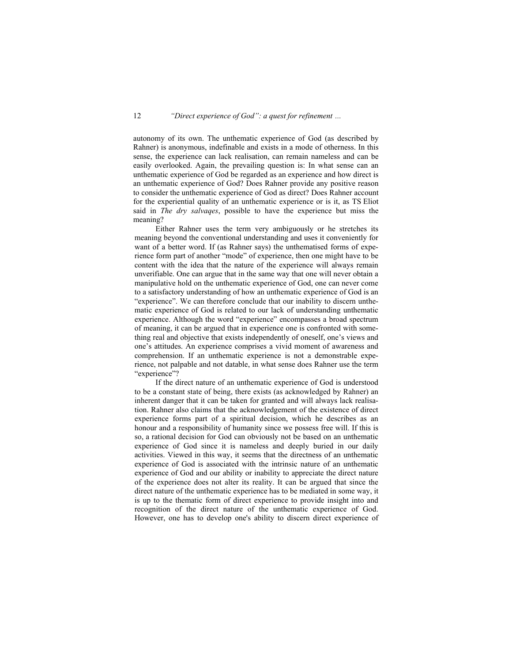autonomy of its own. The unthematic experience of God (as described by Rahner) is anonymous, indefinable and exists in a mode of otherness. In this sense, the experience can lack realisation, can remain nameless and can be easily overlooked. Again, the prevailing question is: In what sense can an unthematic experience of God be regarded as an experience and how direct is an unthematic experience of God? Does Rahner provide any positive reason to consider the unthematic experience of God as direct? Does Rahner account for the experiential quality of an unthematic experience or is it, as TS Eliot said in *The dry salvaqes*, possible to have the experience but miss the meaning?

 Either Rahner uses the term very ambiguously or he stretches its meaning beyond the conventional understanding and uses it conveniently for want of a better word. If (as Rahner says) the unthematised forms of experience form part of another "mode" of experience, then one might have to be content with the idea that the nature of the experience will always remain unverifiable. One can argue that in the same way that one will never obtain a manipulative hold on the unthematic experience of God, one can never come to a satisfactory understanding of how an unthematic experience of God is an "experience". We can therefore conclude that our inability to discern unthematic experience of God is related to our lack of understanding unthematic experience. Although the word "experience" encompasses a broad spectrum of meaning, it can be argued that in experience one is confronted with something real and objective that exists independently of oneself, one's views and one's attitudes. An experience comprises a vivid moment of awareness and comprehension. If an unthematic experience is not a demonstrable experience, not palpable and not datable, in what sense does Rahner use the term "experience"?

 If the direct nature of an unthematic experience of God is understood to be a constant state of being, there exists (as acknowledged by Rahner) an inherent danger that it can be taken for granted and will always lack realisation. Rahner also claims that the acknowledgement of the existence of direct experience forms part of a spiritual decision, which he describes as an honour and a responsibility of humanity since we possess free will. If this is so, a rational decision for God can obviously not be based on an unthematic experience of God since it is nameless and deeply buried in our daily activities. Viewed in this way, it seems that the directness of an unthematic experience of God is associated with the intrinsic nature of an unthematic experience of God and our ability or inability to appreciate the direct nature of the experience does not alter its reality. It can be argued that since the direct nature of the unthematic experience has to be mediated in some way, it is up to the thematic form of direct experience to provide insight into and recognition of the direct nature of the unthematic experience of God. However, one has to develop one's ability to discern direct experience of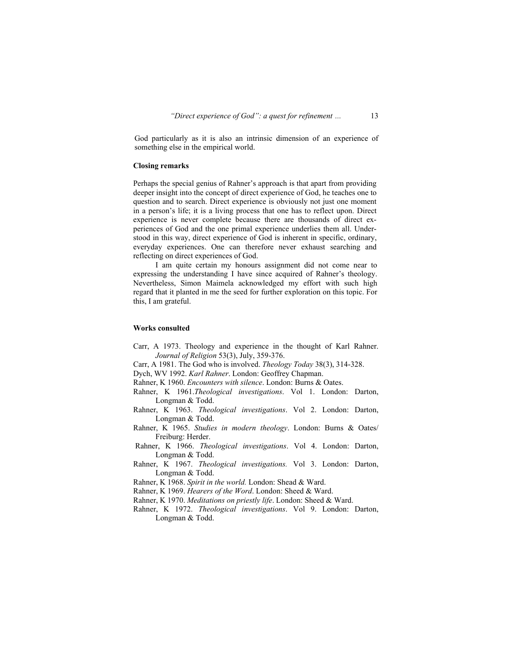God particularly as it is also an intrinsic dimension of an experience of something else in the empirical world.

### **Closing remarks**

Perhaps the special genius of Rahner's approach is that apart from providing deeper insight into the concept of direct experience of God, he teaches one to question and to search. Direct experience is obviously not just one moment in a person's life; it is a living process that one has to reflect upon. Direct experience is never complete because there are thousands of direct experiences of God and the one primal experience underlies them all. Understood in this way, direct experience of God is inherent in specific, ordinary, everyday experiences. One can therefore never exhaust searching and reflecting on direct experiences of God.

 I am quite certain my honours assignment did not come near to expressing the understanding I have since acquired of Rahner's theology. Nevertheless, Simon Maimela acknowledged my effort with such high regard that it planted in me the seed for further exploration on this topic. For this, I am grateful.

#### **Works consulted**

- Carr, A 1973. Theology and experience in the thought of Karl Rahner. *Journal of Religion* 53(3), July, 359-376.
- Carr, A 1981. The God who is involved. *Theology Today* 38(3), 314-328.
- Dych, WV 1992. *Karl Rahner*. London: Geoffrey Chapman.
- Rahner, K 1960. *Encounters with silence*. London: Burns & Oates.
- Rahner, K 1961.*Theological investigations*. Vol 1. London: Darton, Longman & Todd.
- Rahner, K 1963. *Theological investigations*. Vol 2. London: Darton, Longman & Todd.
- Rahner, K 1965. *Studies in modern theology*. London: Burns & Oates/ Freiburg: Herder.
- Rahner, K 1966. *Theological investigations*. Vol 4. London: Darton, Longman & Todd.
- Rahner, K 1967. *Theological investigations.* Vol 3. London: Darton, Longman & Todd.
- Rahner, K 1968. *Spirit in the world.* London: Shead & Ward.
- Rahner, K 1969. *Hearers of the Word*. London: Sheed & Ward.
- Rahner, K 1970. *Meditations on priestly life*. London: Sheed & Ward.
- Rahner, K 1972. *Theological investigations*. Vol 9. London: Darton, Longman & Todd.